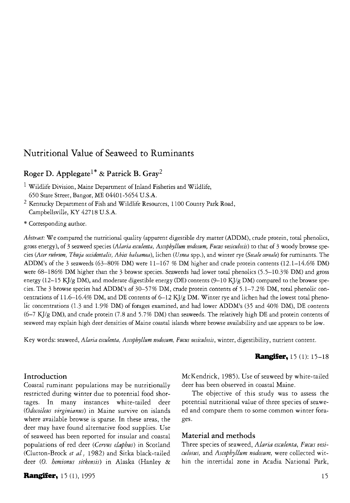# **Nutritional Value of Seaweed to Ruminants**

# **Roger D. Applegate1\* & Patrick B. Gray<sup>2</sup>**

- 1 Wildlife Division, Maine Department of Inland Fisheries and Wildlife, 650 State Street, Bangor, ME 04401-5654 U.S.A.
- 2 Kentucky Department of Fish and Wildlife Resources, 1100 County Park Road, Campbellsville, KY 42718 U.S.A.
- \* Corresponding author.

*Abstract:* We compared the nutritional quality (apparent digestible dry matter (ADDM), crude protein, total phenolics, gross energy), of 3 seaweed species *(Alaria esculenta, Ascophyllum nodosum, Fucus vesiculosis)* to that of 3 woody browse species *{Acer rubrum, Thuja occidentalis, Abies balsamea),* lichen *(Usnea* spp.), and winter rye *(Secale cereals)* for ruminants. The ADDM's of the 3 seaweeds (63-80% DM) were  $11-167$  % DM higher and crude protein contents (12.1-14.6% DM) were 68-186% DM higher than the 3 browse species. Seaweeds had lower total phenolics (5.5-10.3% DM) and gross energy (12-15 KJ/g DM), and moderate digestible energy (DE) contents (9-10 KJ/g DM) compared to the browse species. The 3 browse species had ADDM's of 30-57% DM, crude protein contents of 5.1-7.2% DM, total phenolic concentrations of 11.6-16.4% DM, and DE contents of 6-12 KJ/g DM. Winter rye and lichen had the lowest total phenolic concentrations (1.3 and 1.9% DM) of forages examined, and had lower ADDM's (35 and 40% DM), DE contents  $(6-7 \text{ KJ/g DM})$ , and crude protein (7.8 and 5.7% DM) than seaweeds. The relatively high DE and protein contents of seaweed may explain high deer densities of Maine coastal islands where browse availability and use appears to be low.

Key words: seaweed, *Alaria esculenta, Ascophyllum nodosum, Fucus vesiculosis,* winter, digestibility, nutrient content.

### **Rangifer,** 15 (1): 15-18

## **Introduction**

Coastal ruminant populations may be nutritionally restricted during winter due to potential food shortages. In many instances white-tailed deer *(Odocoileus virginianus)* in Maine survive on islands where available browse is sparse. In these areas, the deer may have found alternative food supplies. Use of seaweed has been reported for insular and coastal populations of red deer *(Cervus elaphus)* in Scotland (Clutton-Brock *et al,* 1982) and Sitka black-tailed deer *(0. hemionus sitkensis)* in Alaska (Hanley &

**Rangifer,** 15 (1), 1995 15

McKendrick, 1985). Use of seaweed by white-tailed deer has been observed in coastal Maine.

The objective of this study was to assess the potential nutritional value of three species of seaweed and compare them to some common winter forages.

#### **Material and methods**

Three species of seaweed, *Alaria esculenta, Fucus vesiculosus,* and *Ascophyllum nodosum,* were collected within the intertidal zone in Acadia National Park,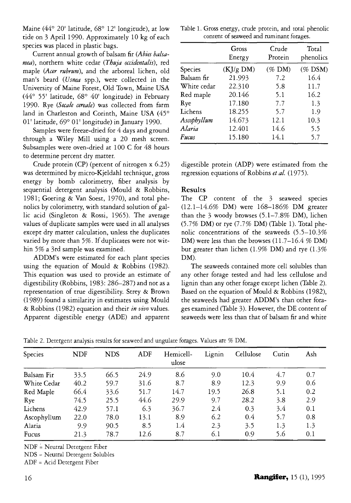Maine (44° 20' latitude, 68° 12' longitude), at low tide on 3 April 1990. Approximately 10 kg of each species was placed in plastic bags.

Current annual growth of balsam fir *(Abies balsamea),* northern white cedar *(Thuja octidentalis),* red maple *(Acer rubrum),* and the arboreal lichen, old man's beard *(Usnea* spp.), were collected in the University of Maine Forest, Old Town, Maine USA (44° 55' latitude, 68° 40' longitude) in February 1990. Rye *(Secale cereale)* was collected from farm land in Charleston and Corinth, Maine USA (45° 01' latitude, 69° 01' longitude) in January 1990.

Samples were freeze-dried for 4 days and ground through a Wiley Mill using a 20 mesh screen. Subsamples were oven-dried at 100 C for 48 hours to determine percent dry matter.

Crude protein (CP) (percent of nitrogen x 6.25) was determined by micro-Kjeldahl technique, gross energy by bomb calorimetry, fiber analysis by sequential detergent analysis (Mould & Robbins, 1981; Goering & Van Soest, 1970), and total phenolics by colorimetry, with standard solution of gallic acid (Singleton & Rossi, 1965). The average values of duplicate samples were used in all analyses except dry matter calculation, unless the duplicates varied by more than 5%. If duplicates were not within 5% a 3rd sample was examined.

ADDM's were estimated for each plant species using the equation of Mould & Robbins (1982). This equation was used to provide an estimate of digestibility (Robbins, 1983: 286-287) and not as a representation of true digestibility. Strey & Brown (1989) found a similarity in estimates using Mould & Robbins (1982) equation and their *in vivo* values. Apparent digestible energy (ADE) and apparent

Table 1. Gross energy, crude protein, and total phenolic content of seaweed and ruminant forages.

|             | Gross<br>Energy | Crude<br>Protein | Total<br>phenolics |
|-------------|-----------------|------------------|--------------------|
| Species     | $(KJ/g$ DM)     | $(\%$ DM)        | $(\%$ DSM)         |
| Balsam fir  | 21.993          | 7.2              | 16.4               |
| White cedar | 22.310          | 5.8              | 11.7               |
| Red maple   | 20.146          | 5.1              | 16.2               |
| Rye         | 17.180          | 7.7              | 1.3                |
| Lichens     | 18.255          | 5.7              | 1.9                |
| Ascophyllum | 14.673          | 12.1             | 10.3               |
| Alaria      | 12.401          | 14.6             | 5.5                |
| Fucus       | 15.180          | 14.1             | 5.7                |

digestible protein (ADP) were estimated from the regression equations of Robbins *et al.* (1975).

#### **Results**

The CP content of the 3 seaweed species  $(12.1 - 14.6\% \text{ DM})$  were  $168 - 186\% \text{ DM}$  greater than the  $3$  woody browses (5.1-7.8% DM), lichen  $(5.7\% \text{ DM})$  or rye  $(7.7\% \text{ DM})$  (Table 1). Total phenolic concentrations of the seaweeds (5-5-10.3% DM) were less than the browses  $(11.7-16.4 \% \text{ DM})$ but greater than lichen (1.9% DM) and rye (1.3%) DM).

The seaweeds contained more cell solubles than any other forage tested and had less cellulose and lignin than any other forage except lichen (Table 2). Based on the equation of Mould & Robbins (1982), the seaweeds had greater ADDM's than other forages examined (Table 3). However, the DE content of seaweeds were less than that of balsam fir and white

| Table 2. Detergent analysis results for seaweed and ungulate forages. Values are % DM. |  |  |
|----------------------------------------------------------------------------------------|--|--|
|                                                                                        |  |  |

| Species     | <b>NDF</b> | <b>NDS</b> | ADF  | Hemicell-<br>ulose | Lignin | Cellulose | Cutin | Ash |
|-------------|------------|------------|------|--------------------|--------|-----------|-------|-----|
| Balsam Fir  | 33.5       | 66.5       | 24.9 | 8.6                | 9.0    | 10.4      | 4.7   | 0.7 |
| White Cedar | 40.2       | 59.7       | 31.6 | 8.7                | 8.9    | 12.3      | 9.9   | 0.6 |
| Red Maple   | 66.4       | 33.6       | 51.7 | 14.7               | 19.5   | 26.8      | 5.1   | 0.2 |
| Rye         | 74.5       | 25.5       | 44.6 | 29.9               | 9.7    | 28.2      | 3.8   | 2.9 |
| Lichens     | 42.9       | 57.1       | 6.3  | 36.7               | 2.4    | 0.3       | 3.4   | 0.1 |
| Ascophyllum | 22.0       | 78.0       | 13.1 | 8.9                | 6.2    | 0.4       | 5.7   | 0.8 |
| Alaria      | 9.9        | 90.5       | 8.5  | 1.4                | 2.3    | 3.5       | 1.3   | 1.3 |
| Fucus       | 21.3       | 78.7       | 12.6 | 8.7                | 6.1    | 0.9       | 5.6   | 0.1 |

 $NDF = Neural Determin$  Fiber

N DS = Neutral Detergent Solubles

A DF = Acid Detergent Fiber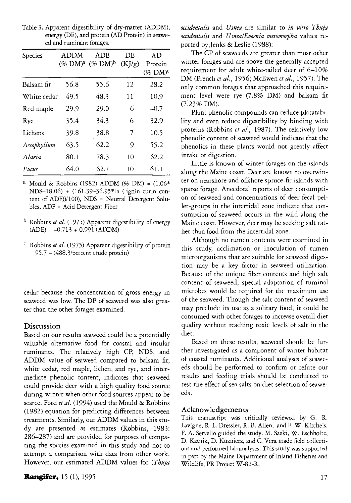| Species     | <b>ADDM</b><br>$(\%$ DM $)^a$ | ADE<br>$(\%$ DM $)^{\rm b}$ | DЕ<br>(KJ/g) | AD<br>Protein<br>$(\%$ DM $)^c$ |
|-------------|-------------------------------|-----------------------------|--------------|---------------------------------|
| Balsam fir  | 56.8                          | 55.6                        | 12           | 28.2                            |
| White cedar | 49.5                          | 48.3                        | 11           | 10.9                            |
| Red maple   | 29.9                          | 29.0                        | 6            | $-0.7$                          |
| Rye         | 35.4                          | 34.3                        | 6            | 32.9                            |
| Lichens     | 39.8                          | 38.8                        | 7            | 10.5                            |
| Ascophyllum | 63.5                          | 62.2                        | 9            | 55.2                            |
| Alaria      | 80.1                          | 78.3                        | 10           | 62.2                            |
| Fucus       | 64 በ                          | 62.7                        | 10           | 61.1                            |

Table 3. Apparent digestibility of dry-matter (ADDM), energy (DE), and protein (AD Protein) in seaweed and ruminant forages.

- <sup>a</sup> Mould & Robbins (1982) ADDM (% DM) =  $(1.06*)$ NDS-18.06) + (I6l.39-36.95\*ln (lignin cutin content of ADF))/100), NDS = Neutral Detergent Solubles, ADF = Acid Detergent Fiber
- b Robbins *et al.* (1975) Apparent digestibility of energy  $(ADE) = -0.713 + 0.991 (ADDM)$
- <sup>c</sup> Robbins *et al.* (1975) Apparent digestibility of protein  $= 95.7 - (488.3/\text{percent} \text{ crude protein})$

cedar because the concentration of gross energy in seaweed was low. The DP of seaweed was also greater than the other forages examined.

## **Discussion**

Based on our results seaweed could be a potentially valuable alternative food for coastal and insular ruminants. The relatively high CP, NDS, and ADDM value of seaweed compared to balsam fir, white cedar, red maple, lichen, and rye, and intermediate phenolic content, indicates that seaweed could provide deer with a high quality food source during winter when other food sources appear to be scarce. Ford *et al.* (1994) used the Mould & Robbins (1982) equation for predicting differences between treatments. Similarly, our ADDM values in this study are presented as estimates (Robbins, 1983: 286-287) and are provided for purposes of comparing the species examined in this study and not to attempt a comparison with data from other work. However, our estimated ADDM values for (Thuja *occidentals* and *Usnea* are similar to *in vitro Thuja occidentalis* and *UsnealEvernia mesomorpha* values reported by Jenks & Leslie (1988):

The CP of seaweeds are greater than most other winter forages and are above the generally accepted requirement for adult white-tailed deer of 6—10% DM (French et al., 1956; McEwen et al., 1957). The only common forages that approached this requirement level were rye  $(7.8\%$  DM) and balsam fir *(7.25%* DM) .

Plant phenolic compounds can reduce platatability and even reduce digestibility by binding with proteins (Robbins *et al.,* 1987). The relatively low phenolic content of seaweed would indicate that the phenolics in these plants would not greatly affect intake or digestion.

Little is known of winter forages on the islands along the Maine coast. Deer are known to overwinter on nearshore and offshore spruce-fir islands with sparse forage. Anecdotal reports of deer consumption of seaweed and concentrations of deer fecal pellet-groups in the intertidal zone indicate that consumption of seaweed occurs in the wild along the Maine coast. However, deer may be seeking salt rather than food from the intertidal zone.

Although no rumen contents were examined in this study, acclimation or inoculation of rumen microorganisms that are suitable for seaweed digestion may be a key factor in seaweed utilization. Because of the unique fiber contents and high salt content of seaweed, special adaptation of ruminal microbes would be required for the maximum use of the seaweed. Though the salt content of seaweed may preclude its use as a solitary food, it could be consumed with other forages to increase overall diet quality without reaching toxic levels of salt in the diet.

Based on these results, seaweed should be further investigated as a component of winter habitat of coastal ruminants. Additional analyses of seaweeds should be performed to confirm or refute our results and feeding trials should be conducted to test the effect of sea salts on diet selection of seaweeds.

#### **Acknowledgements**

This manuscript was critically reviewed by G. R. Lavigne, R. L. Dressier, R. B. Allen, and F. W. Kircheis. F. A. Servello guided the study. M. Saeki, W. Eschholtz, D. Katnik, D. Kuznierz, and C. Vera made field collections and performed lab analyses. This study was supported in part by the Maine Department of Inland Fisheries and Wildlife, PR Project W-82-R.